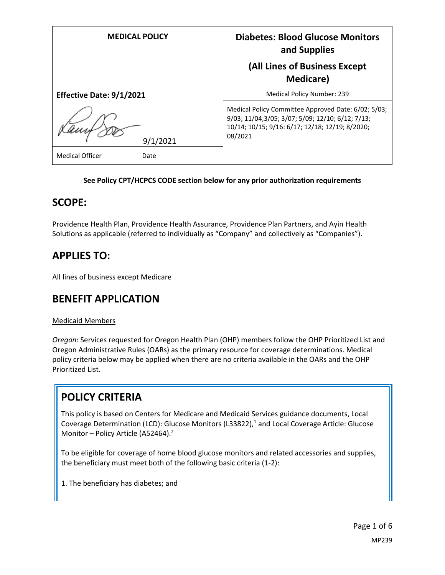| <b>MEDICAL POLICY</b>          | <b>Diabetes: Blood Glucose Monitors</b><br>and Supplies                                                                                                               |
|--------------------------------|-----------------------------------------------------------------------------------------------------------------------------------------------------------------------|
|                                | (All Lines of Business Except<br><b>Medicare</b> )                                                                                                                    |
| Effective Date: 9/1/2021       | <b>Medical Policy Number: 239</b>                                                                                                                                     |
| 9/1/2021                       | Medical Policy Committee Approved Date: 6/02; 5/03;<br>9/03; 11/04;3/05; 3/07; 5/09; 12/10; 6/12; 7/13;<br>10/14; 10/15; 9/16: 6/17; 12/18; 12/19; 8/2020;<br>08/2021 |
| <b>Medical Officer</b><br>Date |                                                                                                                                                                       |

#### **See Policy CPT/HCPCS CODE section below for any prior authorization requirements**

### **SCOPE:**

Providence Health Plan, Providence Health Assurance, Providence Plan Partners, and Ayin Health Solutions as applicable (referred to individually as "Company" and collectively as "Companies").

### **APPLIES TO:**

All lines of business except Medicare

### **BENEFIT APPLICATION**

#### Medicaid Members

*Oregon*: Services requested for Oregon Health Plan (OHP) members follow the OHP Prioritized List and Oregon Administrative Rules (OARs) as the primary resource for coverage determinations. Medical policy criteria below may be applied when there are no criteria available in the OARs and the OHP Prioritized List.

# **POLICY CRITERIA**

This policy is based on Centers for Medicare and Medicaid Services guidance documents, Local Coverage Determination (LCD): Glucose Monitors (L33822), <sup>1</sup> and Local Coverage Article: Glucose Monitor – Policy Article (A52464).<sup>2</sup>

To be eligible for coverage of home blood glucose monitors and related accessories and supplies, the beneficiary must meet both of the following basic criteria (1-2):

1. The beneficiary has diabetes; and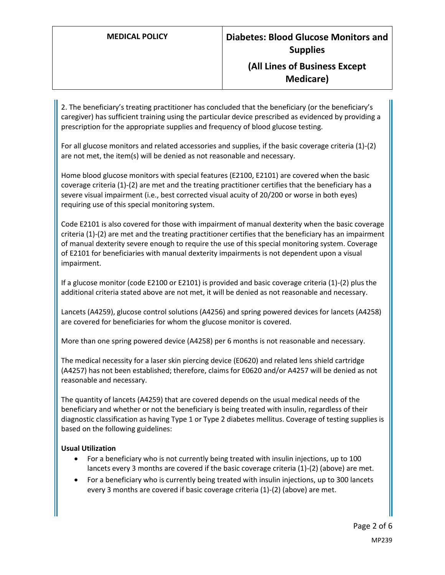### **(All Lines of Business Except Medicare)**

2. The beneficiary's treating practitioner has concluded that the beneficiary (or the beneficiary's caregiver) has sufficient training using the particular device prescribed as evidenced by providing a prescription for the appropriate supplies and frequency of blood glucose testing.

For all glucose monitors and related accessories and supplies, if the basic coverage criteria (1)-(2) are not met, the item(s) will be denied as not reasonable and necessary.

Home blood glucose monitors with special features (E2100, E2101) are covered when the basic coverage criteria (1)-(2) are met and the treating practitioner certifies that the beneficiary has a severe visual impairment (i.e., best corrected visual acuity of 20/200 or worse in both eyes) requiring use of this special monitoring system.

Code E2101 is also covered for those with impairment of manual dexterity when the basic coverage criteria (1)-(2) are met and the treating practitioner certifies that the beneficiary has an impairment of manual dexterity severe enough to require the use of this special monitoring system. Coverage of E2101 for beneficiaries with manual dexterity impairments is not dependent upon a visual impairment.

If a glucose monitor (code E2100 or E2101) is provided and basic coverage criteria (1)-(2) plus the additional criteria stated above are not met, it will be denied as not reasonable and necessary.

Lancets (A4259), glucose control solutions (A4256) and spring powered devices for lancets (A4258) are covered for beneficiaries for whom the glucose monitor is covered.

More than one spring powered device (A4258) per 6 months is not reasonable and necessary.

The medical necessity for a laser skin piercing device (E0620) and related lens shield cartridge (A4257) has not been established; therefore, claims for E0620 and/or A4257 will be denied as not reasonable and necessary.

The quantity of lancets (A4259) that are covered depends on the usual medical needs of the beneficiary and whether or not the beneficiary is being treated with insulin, regardless of their diagnostic classification as having Type 1 or Type 2 diabetes mellitus. Coverage of testing supplies is based on the following guidelines:

#### **Usual Utilization**

- For a beneficiary who is not currently being treated with insulin injections, up to 100 lancets every 3 months are covered if the basic coverage criteria (1)-(2) (above) are met.
- For a beneficiary who is currently being treated with insulin injections, up to 300 lancets every 3 months are covered if basic coverage criteria (1)-(2) (above) are met.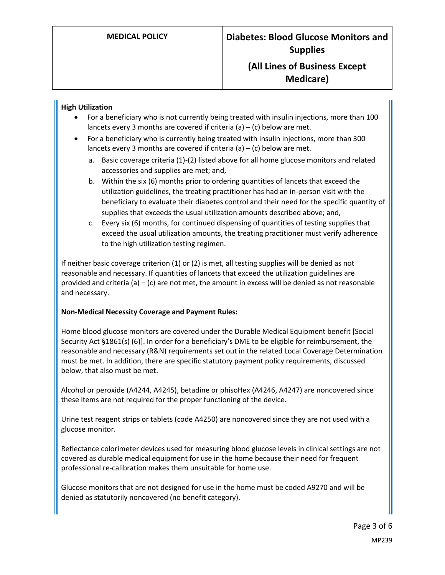### **(All Lines of Business Except Medicare)**

#### **High Utilization**

- For a beneficiary who is not currently being treated with insulin injections, more than 100 lancets every 3 months are covered if criteria (a)  $-$  (c) below are met.
- For a beneficiary who is currently being treated with insulin injections, more than 300 lancets every 3 months are covered if criteria  $(a) - (c)$  below are met.
	- a. Basic coverage criteria (1)-(2) listed above for all home glucose monitors and related accessories and supplies are met; and,
	- b. Within the six (6) months prior to ordering quantities of lancets that exceed the utilization guidelines, the treating practitioner has had an in-person visit with the beneficiary to evaluate their diabetes control and their need for the specific quantity of supplies that exceeds the usual utilization amounts described above; and,
	- c. Every six (6) months, for continued dispensing of quantities of testing supplies that exceed the usual utilization amounts, the treating practitioner must verify adherence to the high utilization testing regimen.

If neither basic coverage criterion (1) or (2) is met, all testing supplies will be denied as not reasonable and necessary. If quantities of lancets that exceed the utilization guidelines are provided and criteria (a) – (c) are not met, the amount in excess will be denied as not reasonable and necessary.

#### **Non-Medical Necessity Coverage and Payment Rules:**

Home blood glucose monitors are covered under the Durable Medical Equipment benefit [Social Security Act §1861(s) (6)]. In order for a beneficiary's DME to be eligible for reimbursement, the reasonable and necessary (R&N) requirements set out in the related Local Coverage Determination must be met. In addition, there are specific statutory payment policy requirements, discussed below, that also must be met.

Alcohol or peroxide (A4244, A4245), betadine or phisoHex (A4246, A4247) are noncovered since these items are not required for the proper functioning of the device.

Urine test reagent strips or tablets (code A4250) are noncovered since they are not used with a glucose monitor.

Reflectance colorimeter devices used for measuring blood glucose levels in clinical settings are not covered as durable medical equipment for use in the home because their need for frequent professional re-calibration makes them unsuitable for home use.

Glucose monitors that are not designed for use in the home must be coded A9270 and will be denied as statutorily noncovered (no benefit category).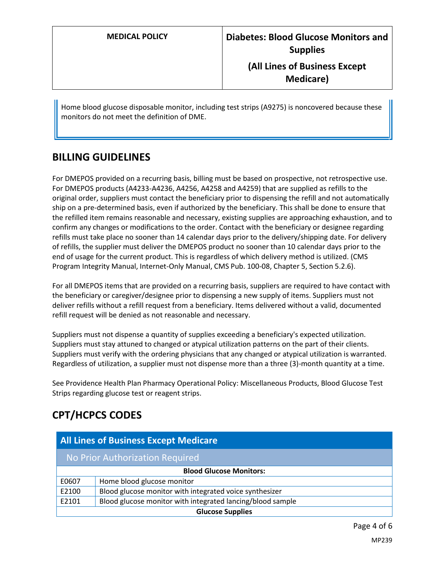**Medicare)**

Home blood glucose disposable monitor, including test strips (A9275) is noncovered because these monitors do not meet the definition of DME.

# **BILLING GUIDELINES**

For DMEPOS provided on a recurring basis, billing must be based on prospective, not retrospective use. For DMEPOS products (A4233-A4236, A4256, A4258 and A4259) that are supplied as refills to the original order, suppliers must contact the beneficiary prior to dispensing the refill and not automatically ship on a pre-determined basis, even if authorized by the beneficiary. This shall be done to ensure that the refilled item remains reasonable and necessary, existing supplies are approaching exhaustion, and to confirm any changes or modifications to the order. Contact with the beneficiary or designee regarding refills must take place no sooner than 14 calendar days prior to the delivery/shipping date. For delivery of refills, the supplier must deliver the DMEPOS product no sooner than 10 calendar days prior to the end of usage for the current product. This is regardless of which delivery method is utilized. (CMS Program Integrity Manual, Internet-Only Manual, CMS Pub. 100-08, Chapter 5, Section 5.2.6).

For all DMEPOS items that are provided on a recurring basis, suppliers are required to have contact with the beneficiary or caregiver/designee prior to dispensing a new supply of items. Suppliers must not deliver refills without a refill request from a beneficiary. Items delivered without a valid, documented refill request will be denied as not reasonable and necessary.

Suppliers must not dispense a quantity of supplies exceeding a beneficiary's expected utilization. Suppliers must stay attuned to changed or atypical utilization patterns on the part of their clients. Suppliers must verify with the ordering physicians that any changed or atypical utilization is warranted. Regardless of utilization, a supplier must not dispense more than a three (3)-month quantity at a time.

See Providence Health Plan Pharmacy Operational Policy: Miscellaneous Products, Blood Glucose Test Strips regarding glucose test or reagent strips.

# **CPT/HCPCS CODES**

| <b>All Lines of Business Except Medicare</b> |                                                            |
|----------------------------------------------|------------------------------------------------------------|
| No Prior Authorization Required              |                                                            |
| <b>Blood Glucose Monitors:</b>               |                                                            |
| E0607                                        | Home blood glucose monitor                                 |
| E2100                                        | Blood glucose monitor with integrated voice synthesizer    |
| E2101                                        | Blood glucose monitor with integrated lancing/blood sample |
| <b>Glucose Supplies</b>                      |                                                            |

Page 4 of 6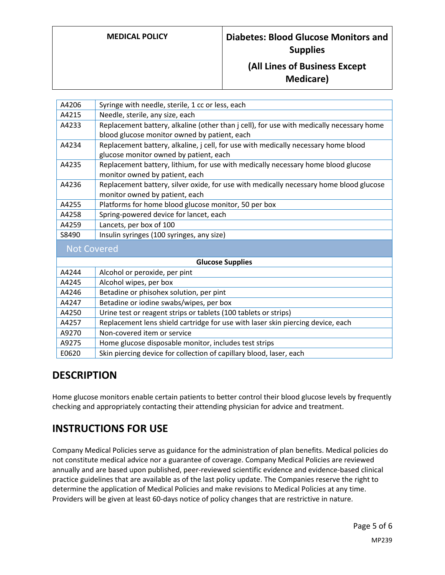# **(All Lines of Business Except Medicare)**

| A4206                   | Syringe with needle, sterile, 1 cc or less, each                                         |
|-------------------------|------------------------------------------------------------------------------------------|
| A4215                   | Needle, sterile, any size, each                                                          |
| A4233                   | Replacement battery, alkaline (other than j cell), for use with medically necessary home |
|                         | blood glucose monitor owned by patient, each                                             |
| A4234                   | Replacement battery, alkaline, j cell, for use with medically necessary home blood       |
|                         | glucose monitor owned by patient, each                                                   |
| A4235                   | Replacement battery, lithium, for use with medically necessary home blood glucose        |
|                         | monitor owned by patient, each                                                           |
| A4236                   | Replacement battery, silver oxide, for use with medically necessary home blood glucose   |
|                         | monitor owned by patient, each                                                           |
| A4255                   | Platforms for home blood glucose monitor, 50 per box                                     |
| A4258                   | Spring-powered device for lancet, each                                                   |
| A4259                   | Lancets, per box of 100                                                                  |
| S8490                   | Insulin syringes (100 syringes, any size)                                                |
| <b>Not Covered</b>      |                                                                                          |
| <b>Glucose Supplies</b> |                                                                                          |
| A4244                   | Alcohol or peroxide, per pint                                                            |
| A4245                   | Alcohol wipes, per box                                                                   |
| A4246                   | Betadine or phisohex solution, per pint                                                  |
| A4247                   | Betadine or iodine swabs/wipes, per box                                                  |
| A4250                   | Urine test or reagent strips or tablets (100 tablets or strips)                          |
| A4257                   | Replacement lens shield cartridge for use with laser skin piercing device, each          |
| A9270                   | Non-covered item or service                                                              |
| A9275                   | Home glucose disposable monitor, includes test strips                                    |
| E0620                   | Skin piercing device for collection of capillary blood, laser, each                      |

# **DESCRIPTION**

Home glucose monitors enable certain patients to better control their blood glucose levels by frequently checking and appropriately contacting their attending physician for advice and treatment.

# **INSTRUCTIONS FOR USE**

Company Medical Policies serve as guidance for the administration of plan benefits. Medical policies do not constitute medical advice nor a guarantee of coverage. Company Medical Policies are reviewed annually and are based upon published, peer-reviewed scientific evidence and evidence-based clinical practice guidelines that are available as of the last policy update. The Companies reserve the right to determine the application of Medical Policies and make revisions to Medical Policies at any time. Providers will be given at least 60-days notice of policy changes that are restrictive in nature.